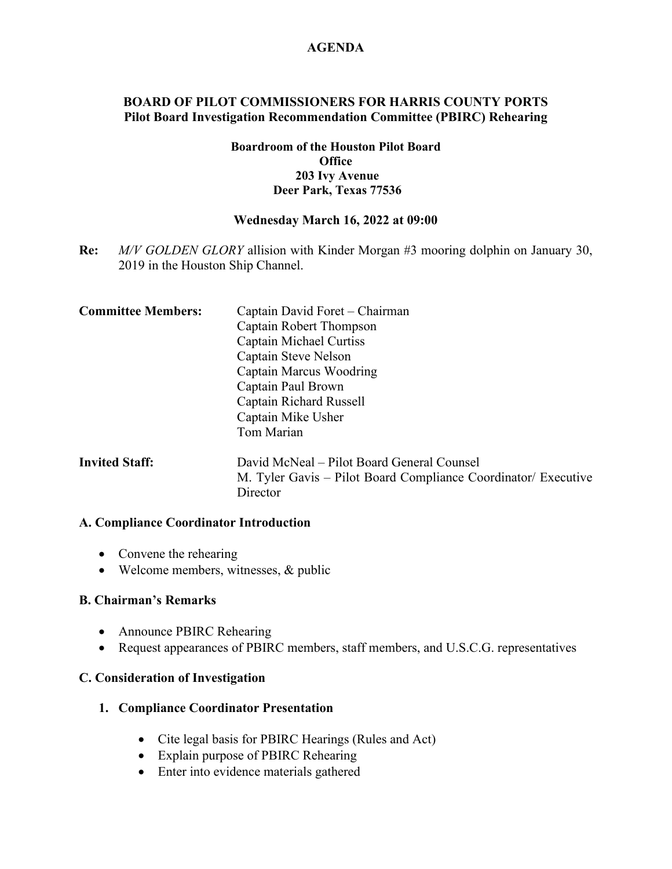## **AGENDA**

## **BOARD OF PILOT COMMISSIONERS FOR HARRIS COUNTY PORTS Pilot Board Investigation Recommendation Committee (PBIRC) Rehearing**

#### **Boardroom of the Houston Pilot Board Office 203 Ivy Avenue Deer Park, Texas 77536**

### **Wednesday March 16, 2022 at 09:00**

**Re:** *M/V GOLDEN GLORY* allision with Kinder Morgan #3 mooring dolphin on January 30, 2019 in the Houston Ship Channel.

| <b>Committee Members:</b> | Captain David Foret - Chairman<br>Captain Robert Thompson<br>Captain Michael Curtiss<br>Captain Steve Nelson<br>Captain Marcus Woodring<br>Captain Paul Brown<br>Captain Richard Russell<br>Captain Mike Usher<br>Tom Marian |
|---------------------------|------------------------------------------------------------------------------------------------------------------------------------------------------------------------------------------------------------------------------|
| <b>Invited Staff:</b>     | David McNeal – Pilot Board General Counsel<br>M. Tyler Gavis – Pilot Board Compliance Coordinator/ Executive<br>Director                                                                                                     |

#### **A. Compliance Coordinator Introduction**

- Convene the rehearing
- Welcome members, witnesses, & public

### **B. Chairman's Remarks**

- Announce PBIRC Rehearing
- Request appearances of PBIRC members, staff members, and U.S.C.G. representatives

### **C. Consideration of Investigation**

### **1. Compliance Coordinator Presentation**

- Cite legal basis for PBIRC Hearings (Rules and Act)
- Explain purpose of PBIRC Rehearing
- Enter into evidence materials gathered